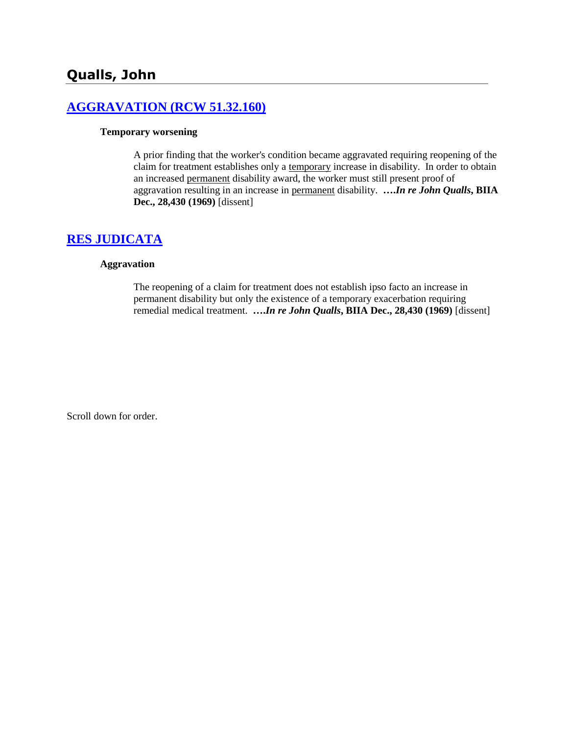# **[AGGRAVATION \(RCW 51.32.160\)](http://www.biia.wa.gov/SDSubjectIndex.html#AGGRAVATION)**

#### **Temporary worsening**

A prior finding that the worker's condition became aggravated requiring reopening of the claim for treatment establishes only a temporary increase in disability. In order to obtain an increased permanent disability award, the worker must still present proof of aggravation resulting in an increase in permanent disability. **….***In re John Qualls***, BIIA Dec., 28,430 (1969)** [dissent]

# **[RES JUDICATA](http://www.biia.wa.gov/SDSubjectIndex.html#RES_JUDICATA)**

#### **Aggravation**

The reopening of a claim for treatment does not establish ipso facto an increase in permanent disability but only the existence of a temporary exacerbation requiring remedial medical treatment. **….***In re John Qualls***, BIIA Dec., 28,430 (1969)** [dissent]

Scroll down for order.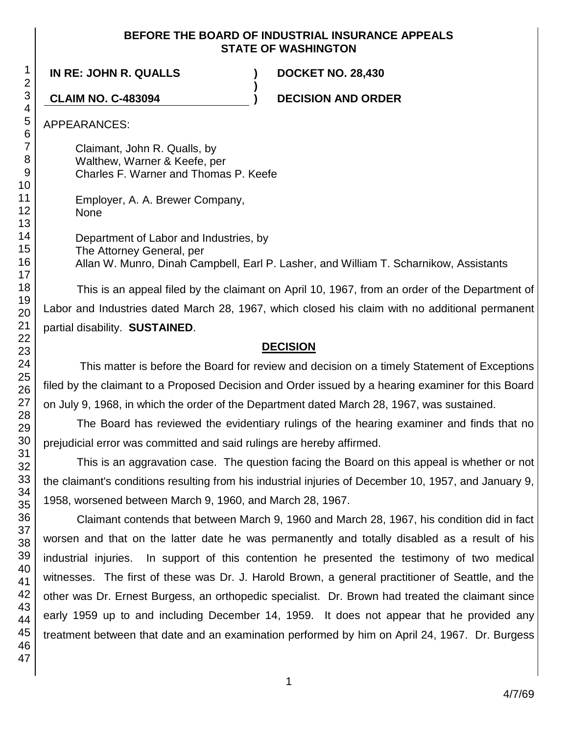## **BEFORE THE BOARD OF INDUSTRIAL INSURANCE APPEALS STATE OF WASHINGTON**

**)**

**IN RE: JOHN R. QUALLS ) DOCKET NO. 28,430**

**CLAIM NO. C-483094 ) DECISION AND ORDER**

APPEARANCES:

Claimant, John R. Qualls, by Walthew, Warner & Keefe, per Charles F. Warner and Thomas P. Keefe

Employer, A. A. Brewer Company, None

Department of Labor and Industries, by The Attorney General, per Allan W. Munro, Dinah Campbell, Earl P. Lasher, and William T. Scharnikow, Assistants

This is an appeal filed by the claimant on April 10, 1967, from an order of the Department of Labor and Industries dated March 28, 1967, which closed his claim with no additional permanent partial disability. **SUSTAINED**.

# **DECISION**

This matter is before the Board for review and decision on a timely Statement of Exceptions filed by the claimant to a Proposed Decision and Order issued by a hearing examiner for this Board on July 9, 1968, in which the order of the Department dated March 28, 1967, was sustained.

The Board has reviewed the evidentiary rulings of the hearing examiner and finds that no prejudicial error was committed and said rulings are hereby affirmed.

This is an aggravation case. The question facing the Board on this appeal is whether or not the claimant's conditions resulting from his industrial injuries of December 10, 1957, and January 9, 1958, worsened between March 9, 1960, and March 28, 1967.

Claimant contends that between March 9, 1960 and March 28, 1967, his condition did in fact worsen and that on the latter date he was permanently and totally disabled as a result of his industrial injuries. In support of this contention he presented the testimony of two medical witnesses. The first of these was Dr. J. Harold Brown, a general practitioner of Seattle, and the other was Dr. Ernest Burgess, an orthopedic specialist. Dr. Brown had treated the claimant since early 1959 up to and including December 14, 1959. It does not appear that he provided any treatment between that date and an examination performed by him on April 24, 1967. Dr. Burgess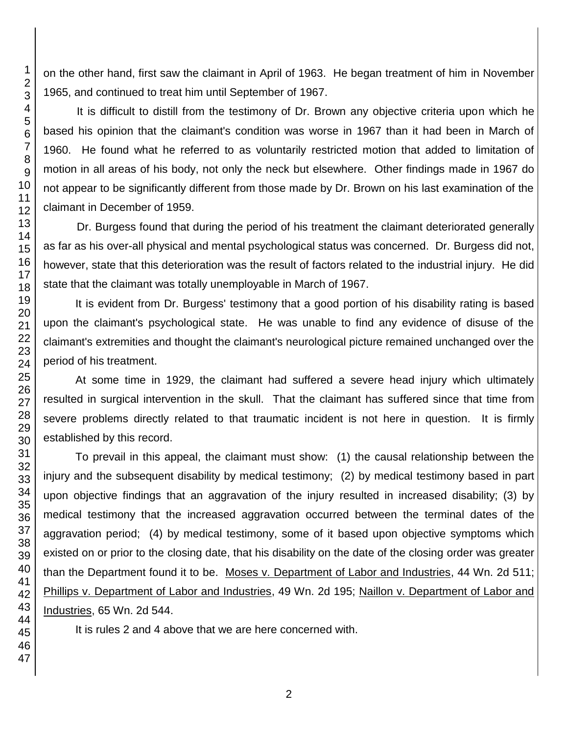on the other hand, first saw the claimant in April of 1963. He began treatment of him in November 1965, and continued to treat him until September of 1967.

It is difficult to distill from the testimony of Dr. Brown any objective criteria upon which he based his opinion that the claimant's condition was worse in 1967 than it had been in March of 1960. He found what he referred to as voluntarily restricted motion that added to limitation of motion in all areas of his body, not only the neck but elsewhere. Other findings made in 1967 do not appear to be significantly different from those made by Dr. Brown on his last examination of the claimant in December of 1959.

Dr. Burgess found that during the period of his treatment the claimant deteriorated generally as far as his over-all physical and mental psychological status was concerned. Dr. Burgess did not, however, state that this deterioration was the result of factors related to the industrial injury. He did state that the claimant was totally unemployable in March of 1967.

It is evident from Dr. Burgess' testimony that a good portion of his disability rating is based upon the claimant's psychological state. He was unable to find any evidence of disuse of the claimant's extremities and thought the claimant's neurological picture remained unchanged over the period of his treatment.

At some time in 1929, the claimant had suffered a severe head injury which ultimately resulted in surgical intervention in the skull. That the claimant has suffered since that time from severe problems directly related to that traumatic incident is not here in question. It is firmly established by this record.

To prevail in this appeal, the claimant must show: (1) the causal relationship between the injury and the subsequent disability by medical testimony; (2) by medical testimony based in part upon objective findings that an aggravation of the injury resulted in increased disability; (3) by medical testimony that the increased aggravation occurred between the terminal dates of the aggravation period; (4) by medical testimony, some of it based upon objective symptoms which existed on or prior to the closing date, that his disability on the date of the closing order was greater than the Department found it to be. Moses v. Department of Labor and Industries, 44 Wn. 2d 511; Phillips v. Department of Labor and Industries, 49 Wn. 2d 195; Naillon v. Department of Labor and Industries, 65 Wn. 2d 544.

It is rules 2 and 4 above that we are here concerned with.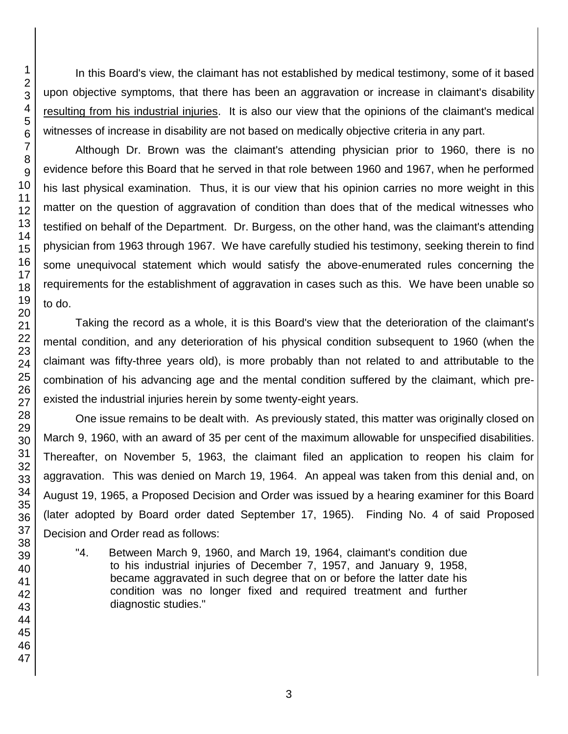In this Board's view, the claimant has not established by medical testimony, some of it based upon objective symptoms, that there has been an aggravation or increase in claimant's disability resulting from his industrial injuries. It is also our view that the opinions of the claimant's medical witnesses of increase in disability are not based on medically objective criteria in any part.

Although Dr. Brown was the claimant's attending physician prior to 1960, there is no evidence before this Board that he served in that role between 1960 and 1967, when he performed his last physical examination. Thus, it is our view that his opinion carries no more weight in this matter on the question of aggravation of condition than does that of the medical witnesses who testified on behalf of the Department. Dr. Burgess, on the other hand, was the claimant's attending physician from 1963 through 1967. We have carefully studied his testimony, seeking therein to find some unequivocal statement which would satisfy the above-enumerated rules concerning the requirements for the establishment of aggravation in cases such as this. We have been unable so to do.

Taking the record as a whole, it is this Board's view that the deterioration of the claimant's mental condition, and any deterioration of his physical condition subsequent to 1960 (when the claimant was fifty-three years old), is more probably than not related to and attributable to the combination of his advancing age and the mental condition suffered by the claimant, which preexisted the industrial injuries herein by some twenty-eight years.

One issue remains to be dealt with. As previously stated, this matter was originally closed on March 9, 1960, with an award of 35 per cent of the maximum allowable for unspecified disabilities. Thereafter, on November 5, 1963, the claimant filed an application to reopen his claim for aggravation. This was denied on March 19, 1964. An appeal was taken from this denial and, on August 19, 1965, a Proposed Decision and Order was issued by a hearing examiner for this Board (later adopted by Board order dated September 17, 1965). Finding No. 4 of said Proposed Decision and Order read as follows:

"4. Between March 9, 1960, and March 19, 1964, claimant's condition due to his industrial injuries of December 7, 1957, and January 9, 1958, became aggravated in such degree that on or before the latter date his condition was no longer fixed and required treatment and further diagnostic studies."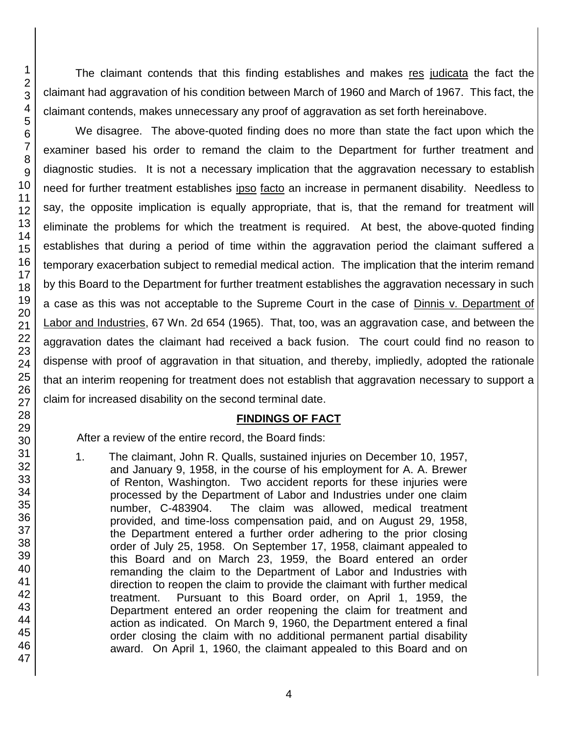The claimant contends that this finding establishes and makes res judicata the fact the claimant had aggravation of his condition between March of 1960 and March of 1967. This fact, the claimant contends, makes unnecessary any proof of aggravation as set forth hereinabove.

We disagree. The above-quoted finding does no more than state the fact upon which the examiner based his order to remand the claim to the Department for further treatment and diagnostic studies. It is not a necessary implication that the aggravation necessary to establish need for further treatment establishes ipso facto an increase in permanent disability. Needless to say, the opposite implication is equally appropriate, that is, that the remand for treatment will eliminate the problems for which the treatment is required. At best, the above-quoted finding establishes that during a period of time within the aggravation period the claimant suffered a temporary exacerbation subject to remedial medical action. The implication that the interim remand by this Board to the Department for further treatment establishes the aggravation necessary in such a case as this was not acceptable to the Supreme Court in the case of Dinnis v. Department of Labor and Industries, 67 Wn. 2d 654 (1965). That, too, was an aggravation case, and between the aggravation dates the claimant had received a back fusion. The court could find no reason to dispense with proof of aggravation in that situation, and thereby, impliedly, adopted the rationale that an interim reopening for treatment does not establish that aggravation necessary to support a claim for increased disability on the second terminal date.

#### **FINDINGS OF FACT**

After a review of the entire record, the Board finds:

1. The claimant, John R. Qualls, sustained injuries on December 10, 1957, and January 9, 1958, in the course of his employment for A. A. Brewer of Renton, Washington. Two accident reports for these injuries were processed by the Department of Labor and Industries under one claim number, C-483904. The claim was allowed, medical treatment provided, and time-loss compensation paid, and on August 29, 1958, the Department entered a further order adhering to the prior closing order of July 25, 1958. On September 17, 1958, claimant appealed to this Board and on March 23, 1959, the Board entered an order remanding the claim to the Department of Labor and Industries with direction to reopen the claim to provide the claimant with further medical treatment. Pursuant to this Board order, on April 1, 1959, the Department entered an order reopening the claim for treatment and action as indicated. On March 9, 1960, the Department entered a final order closing the claim with no additional permanent partial disability award. On April 1, 1960, the claimant appealed to this Board and on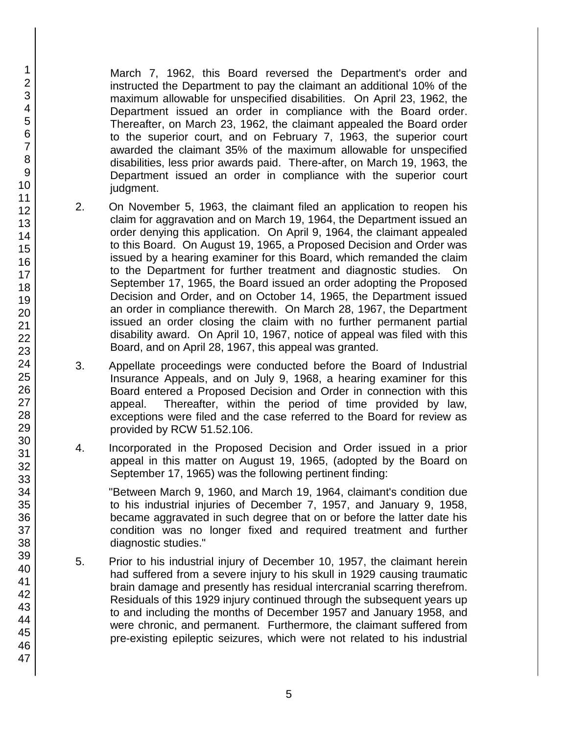March 7, 1962, this Board reversed the Department's order and instructed the Department to pay the claimant an additional 10% of the maximum allowable for unspecified disabilities. On April 23, 1962, the Department issued an order in compliance with the Board order. Thereafter, on March 23, 1962, the claimant appealed the Board order to the superior court, and on February 7, 1963, the superior court awarded the claimant 35% of the maximum allowable for unspecified disabilities, less prior awards paid. There-after, on March 19, 1963, the Department issued an order in compliance with the superior court judgment.

- 2. On November 5, 1963, the claimant filed an application to reopen his claim for aggravation and on March 19, 1964, the Department issued an order denying this application. On April 9, 1964, the claimant appealed to this Board. On August 19, 1965, a Proposed Decision and Order was issued by a hearing examiner for this Board, which remanded the claim to the Department for further treatment and diagnostic studies. On September 17, 1965, the Board issued an order adopting the Proposed Decision and Order, and on October 14, 1965, the Department issued an order in compliance therewith. On March 28, 1967, the Department issued an order closing the claim with no further permanent partial disability award. On April 10, 1967, notice of appeal was filed with this Board, and on April 28, 1967, this appeal was granted.
- 3. Appellate proceedings were conducted before the Board of Industrial Insurance Appeals, and on July 9, 1968, a hearing examiner for this Board entered a Proposed Decision and Order in connection with this appeal. Thereafter, within the period of time provided by law, exceptions were filed and the case referred to the Board for review as provided by RCW 51.52.106.
- 4. Incorporated in the Proposed Decision and Order issued in a prior appeal in this matter on August 19, 1965, (adopted by the Board on September 17, 1965) was the following pertinent finding:

"Between March 9, 1960, and March 19, 1964, claimant's condition due to his industrial injuries of December 7, 1957, and January 9, 1958, became aggravated in such degree that on or before the latter date his condition was no longer fixed and required treatment and further diagnostic studies."

5. Prior to his industrial injury of December 10, 1957, the claimant herein had suffered from a severe injury to his skull in 1929 causing traumatic brain damage and presently has residual intercranial scarring therefrom. Residuals of this 1929 injury continued through the subsequent years up to and including the months of December 1957 and January 1958, and were chronic, and permanent. Furthermore, the claimant suffered from pre-existing epileptic seizures, which were not related to his industrial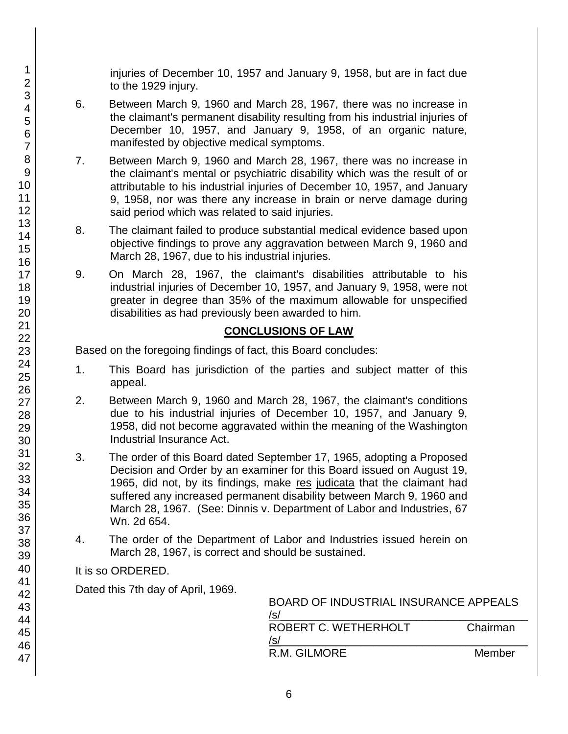injuries of December 10, 1957 and January 9, 1958, but are in fact due to the 1929 injury.

- 6. Between March 9, 1960 and March 28, 1967, there was no increase in the claimant's permanent disability resulting from his industrial injuries of December 10, 1957, and January 9, 1958, of an organic nature, manifested by objective medical symptoms.
- 7. Between March 9, 1960 and March 28, 1967, there was no increase in the claimant's mental or psychiatric disability which was the result of or attributable to his industrial injuries of December 10, 1957, and January 9, 1958, nor was there any increase in brain or nerve damage during said period which was related to said injuries.
- 8. The claimant failed to produce substantial medical evidence based upon objective findings to prove any aggravation between March 9, 1960 and March 28, 1967, due to his industrial injuries.
- 9. On March 28, 1967, the claimant's disabilities attributable to his industrial injuries of December 10, 1957, and January 9, 1958, were not greater in degree than 35% of the maximum allowable for unspecified disabilities as had previously been awarded to him.

# **CONCLUSIONS OF LAW**

Based on the foregoing findings of fact, this Board concludes:

- 1. This Board has jurisdiction of the parties and subject matter of this appeal.
- 2. Between March 9, 1960 and March 28, 1967, the claimant's conditions due to his industrial injuries of December 10, 1957, and January 9, 1958, did not become aggravated within the meaning of the Washington Industrial Insurance Act.
- 3. The order of this Board dated September 17, 1965, adopting a Proposed Decision and Order by an examiner for this Board issued on August 19, 1965, did not, by its findings, make res judicata that the claimant had suffered any increased permanent disability between March 9, 1960 and March 28, 1967. (See: Dinnis v. Department of Labor and Industries, 67 Wn. 2d 654.
- 4. The order of the Department of Labor and Industries issued herein on March 28, 1967, is correct and should be sustained.

# It is so ORDERED.

Dated this 7th day of April, 1969.

| /s/                         | <b>BOARD OF INDUSTRIAL INSURANCE APPEALS</b> |  |
|-----------------------------|----------------------------------------------|--|
| ROBERT C. WETHERHOLT<br>/s/ | Chairman                                     |  |
| R.M. GILMORE                | Member                                       |  |